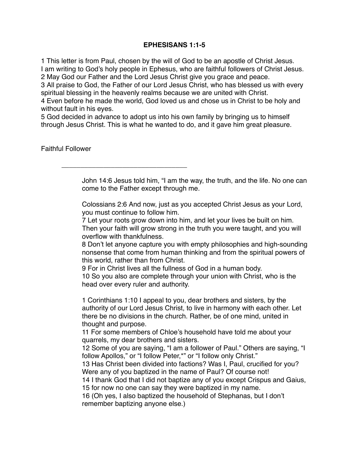## **EPHESISANS 1:1-5**

1 This letter is from Paul, chosen by the will of God to be an apostle of Christ Jesus. I am writing to God's holy people in Ephesus, who are faithful followers of Christ Jesus. 2 May God our Father and the Lord Jesus Christ give you grace and peace.

3 All praise to God, the Father of our Lord Jesus Christ, who has blessed us with every spiritual blessing in the heavenly realms because we are united with Christ.

4 Even before he made the world, God loved us and chose us in Christ to be holy and without fault in his eyes.

5 God decided in advance to adopt us into his own family by bringing us to himself through Jesus Christ. This is what he wanted to do, and it gave him great pleasure.

\_\_\_\_\_\_\_\_\_\_\_\_\_\_\_\_\_\_\_\_\_\_\_\_\_\_\_\_\_\_\_\_\_

Faithful Follower

John 14:6 Jesus told him, "I am the way, the truth, and the life. No one can come to the Father except through me.

Colossians 2:6 And now, just as you accepted Christ Jesus as your Lord, you must continue to follow him.

7 Let your roots grow down into him, and let your lives be built on him. Then your faith will grow strong in the truth you were taught, and you will overflow with thankfulness.

8 Don't let anyone capture you with empty philosophies and high-sounding nonsense that come from human thinking and from the spiritual powers of this world, rather than from Christ.

9 For in Christ lives all the fullness of God in a human body.

10 So you also are complete through your union with Christ, who is the head over every ruler and authority.

1 Corinthians 1:10 I appeal to you, dear brothers and sisters, by the authority of our Lord Jesus Christ, to live in harmony with each other. Let there be no divisions in the church. Rather, be of one mind, united in thought and purpose.

11 For some members of Chloe's household have told me about your quarrels, my dear brothers and sisters.

12 Some of you are saying, "I am a follower of Paul." Others are saying, "I follow Apollos," or "I follow Peter,\*" or "I follow only Christ."

13 Has Christ been divided into factions? Was I, Paul, crucified for you? Were any of you baptized in the name of Paul? Of course not!

14 I thank God that I did not baptize any of you except Crispus and Gaius,

15 for now no one can say they were baptized in my name.

16 (Oh yes, I also baptized the household of Stephanas, but I don't remember baptizing anyone else.)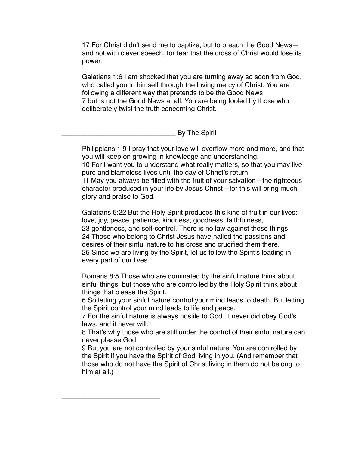17 For Christ didn't send me to baptize, but to preach the Good News and not with clever speech, for fear that the cross of Christ would lose its power.

Galatians 1:6 I am shocked that you are turning away so soon from God, who called you to himself through the loving mercy of Christ. You are following a different way that pretends to be the Good News 7 but is not the Good News at all. You are being fooled by those who deliberately twist the truth concerning Christ.

\_\_\_\_\_\_\_\_\_\_\_\_\_\_\_\_\_\_\_\_\_\_\_\_\_\_\_\_\_\_ By The Spirit

Philippians 1:9 I pray that your love will overflow more and more, and that you will keep on growing in knowledge and understanding.

10 For I want you to understand what really matters, so that you may live pure and blameless lives until the day of Christ's return.

11 May you always be filled with the fruit of your salvation—the righteous character produced in your life by Jesus Christ—for this will bring much glory and praise to God.

Galatians 5:22 But the Holy Spirit produces this kind of fruit in our lives: love, joy, peace, patience, kindness, goodness, faithfulness, 23 gentleness, and self-control. There is no law against these things! 24 Those who belong to Christ Jesus have nailed the passions and desires of their sinful nature to his cross and crucified them there. 25 Since we are living by the Spirit, let us follow the Spirit's leading in every part of our lives.

Romans 8:5 Those who are dominated by the sinful nature think about sinful things, but those who are controlled by the Holy Spirit think about things that please the Spirit.

6 So letting your sinful nature control your mind leads to death. But letting the Spirit control your mind leads to life and peace.

7 For the sinful nature is always hostile to God. It never did obey God's laws, and it never will.

8 That's why those who are still under the control of their sinful nature can never please God.

9 But you are not controlled by your sinful nature. You are controlled by the Spirit if you have the Spirit of God living in you. (And remember that those who do not have the Spirit of Christ living in them do not belong to him at all.)

\_\_\_\_\_\_\_\_\_\_\_\_\_\_\_\_\_\_\_\_\_\_\_\_\_\_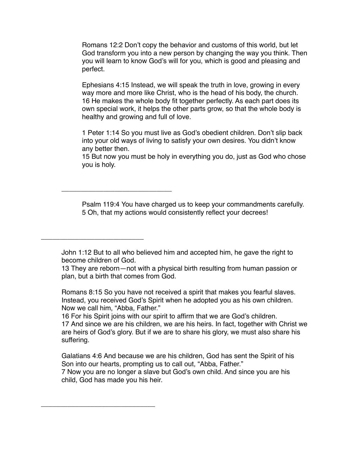Romans 12:2 Don't copy the behavior and customs of this world, but let God transform you into a new person by changing the way you think. Then you will learn to know God's will for you, which is good and pleasing and perfect.

Ephesians 4:15 Instead, we will speak the truth in love, growing in every way more and more like Christ, who is the head of his body, the church. 16 He makes the whole body fit together perfectly. As each part does its own special work, it helps the other parts grow, so that the whole body is healthy and growing and full of love.

1 Peter 1:14 So you must live as God's obedient children. Don't slip back into your old ways of living to satisfy your own desires. You didn't know any better then.

15 But now you must be holy in everything you do, just as God who chose you is holy.

Psalm 119:4 You have charged us to keep your commandments carefully. 5 Oh, that my actions would consistently reflect your decrees!

John 1:12 But to all who believed him and accepted him, he gave the right to become children of God.

\_\_\_\_\_\_\_\_\_\_\_\_\_\_\_\_\_\_\_\_\_\_\_\_\_\_\_\_\_

\_\_\_\_\_\_\_\_\_\_\_\_\_\_\_\_\_\_\_\_\_\_\_\_\_\_\_

\_\_\_\_\_\_\_\_\_\_\_\_\_\_\_\_\_\_\_\_\_\_\_\_\_\_\_\_\_\_

13 They are reborn—not with a physical birth resulting from human passion or plan, but a birth that comes from God.

Romans 8:15 So you have not received a spirit that makes you fearful slaves. Instead, you received God's Spirit when he adopted you as his own children. Now we call him, "Abba, Father."

16 For his Spirit joins with our spirit to affirm that we are God's children. 17 And since we are his children, we are his heirs. In fact, together with Christ we are heirs of God's glory. But if we are to share his glory, we must also share his suffering.

Galatians 4:6 And because we are his children, God has sent the Spirit of his Son into our hearts, prompting us to call out, "Abba, Father." 7 Now you are no longer a slave but God's own child. And since you are his child, God has made you his heir.